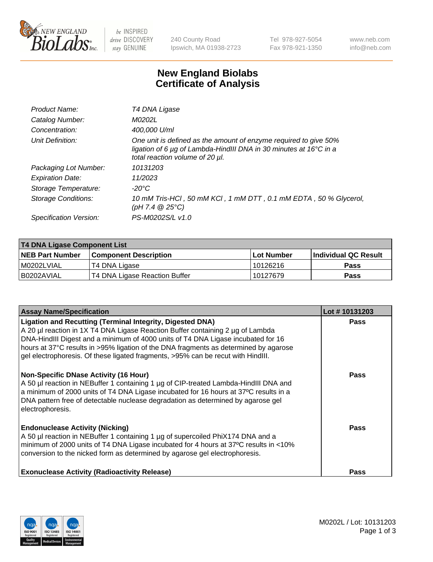

 $be$  INSPIRED drive DISCOVERY stay GENUINE

240 County Road Ipswich, MA 01938-2723 Tel 978-927-5054 Fax 978-921-1350 www.neb.com info@neb.com

## **New England Biolabs Certificate of Analysis**

| Product Name:              | T4 DNA Ligase                                                                                                                                                            |
|----------------------------|--------------------------------------------------------------------------------------------------------------------------------------------------------------------------|
| Catalog Number:            | M0202L                                                                                                                                                                   |
| Concentration:             | 400,000 U/ml                                                                                                                                                             |
| Unit Definition:           | One unit is defined as the amount of enzyme required to give 50%<br>ligation of 6 µg of Lambda-HindIII DNA in 30 minutes at 16°C in a<br>total reaction volume of 20 µl. |
| Packaging Lot Number:      | 10131203                                                                                                                                                                 |
| <b>Expiration Date:</b>    | 11/2023                                                                                                                                                                  |
| Storage Temperature:       | -20°C                                                                                                                                                                    |
| <b>Storage Conditions:</b> | 10 mM Tris-HCl, 50 mM KCl, 1 mM DTT, 0.1 mM EDTA, 50 % Glycerol,<br>(pH 7.4 $@25°C$ )                                                                                    |
| Specification Version:     | PS-M0202S/L v1.0                                                                                                                                                         |

| T4 DNA Ligase Component List |                               |              |                             |  |
|------------------------------|-------------------------------|--------------|-----------------------------|--|
| <b>NEB Part Number</b>       | <b>Component Description</b>  | l Lot Number | <b>Individual QC Result</b> |  |
| M0202LVIAL                   | T4 DNA Ligase                 | 10126216     | <b>Pass</b>                 |  |
| I B0202AVIAL                 | T4 DNA Ligase Reaction Buffer | 10127679     | <b>Pass</b>                 |  |

| <b>Assay Name/Specification</b>                                                                                                                                                                                                                                                                                                                                                                                    | Lot #10131203 |
|--------------------------------------------------------------------------------------------------------------------------------------------------------------------------------------------------------------------------------------------------------------------------------------------------------------------------------------------------------------------------------------------------------------------|---------------|
| <b>Ligation and Recutting (Terminal Integrity, Digested DNA)</b><br>A 20 µl reaction in 1X T4 DNA Ligase Reaction Buffer containing 2 µg of Lambda<br>DNA-HindIII Digest and a minimum of 4000 units of T4 DNA Ligase incubated for 16<br>hours at 37°C results in >95% ligation of the DNA fragments as determined by agarose<br>gel electrophoresis. Of these ligated fragments, >95% can be recut with HindIII. | <b>Pass</b>   |
| <b>Non-Specific DNase Activity (16 Hour)</b><br>A 50 µl reaction in NEBuffer 1 containing 1 µg of CIP-treated Lambda-HindIII DNA and<br>a minimum of 2000 units of T4 DNA Ligase incubated for 16 hours at 37°C results in a<br>DNA pattern free of detectable nuclease degradation as determined by agarose gel<br>electrophoresis.                                                                               | Pass          |
| <b>Endonuclease Activity (Nicking)</b><br>A 50 µl reaction in NEBuffer 1 containing 1 µg of supercoiled PhiX174 DNA and a<br>minimum of 2000 units of T4 DNA Ligase incubated for 4 hours at 37°C results in <10%<br>conversion to the nicked form as determined by agarose gel electrophoresis.                                                                                                                   | Pass          |
| <b>Exonuclease Activity (Radioactivity Release)</b>                                                                                                                                                                                                                                                                                                                                                                | Pass          |

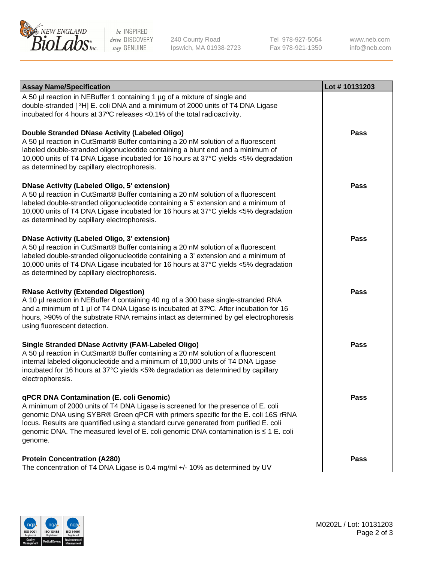

be INSPIRED drive DISCOVERY stay GENUINE

240 County Road Ipswich, MA 01938-2723 Tel 978-927-5054 Fax 978-921-1350 www.neb.com info@neb.com

| <b>Assay Name/Specification</b>                                                                                                                                                                                                                                                                                                                                                                             | Lot #10131203 |
|-------------------------------------------------------------------------------------------------------------------------------------------------------------------------------------------------------------------------------------------------------------------------------------------------------------------------------------------------------------------------------------------------------------|---------------|
| A 50 µl reaction in NEBuffer 1 containing 1 µg of a mixture of single and<br>double-stranded [3H] E. coli DNA and a minimum of 2000 units of T4 DNA Ligase<br>incubated for 4 hours at 37°C releases <0.1% of the total radioactivity.                                                                                                                                                                      |               |
| Double Stranded DNase Activity (Labeled Oligo)<br>A 50 µl reaction in CutSmart® Buffer containing a 20 nM solution of a fluorescent<br>labeled double-stranded oligonucleotide containing a blunt end and a minimum of<br>10,000 units of T4 DNA Ligase incubated for 16 hours at 37°C yields <5% degradation<br>as determined by capillary electrophoresis.                                                | Pass          |
| <b>DNase Activity (Labeled Oligo, 5' extension)</b><br>A 50 µl reaction in CutSmart® Buffer containing a 20 nM solution of a fluorescent<br>labeled double-stranded oligonucleotide containing a 5' extension and a minimum of<br>10,000 units of T4 DNA Ligase incubated for 16 hours at 37°C yields <5% degradation<br>as determined by capillary electrophoresis.                                        | <b>Pass</b>   |
| <b>DNase Activity (Labeled Oligo, 3' extension)</b><br>A 50 µl reaction in CutSmart® Buffer containing a 20 nM solution of a fluorescent<br>labeled double-stranded oligonucleotide containing a 3' extension and a minimum of<br>10,000 units of T4 DNA Ligase incubated for 16 hours at 37°C yields <5% degradation<br>as determined by capillary electrophoresis.                                        | <b>Pass</b>   |
| <b>RNase Activity (Extended Digestion)</b><br>A 10 µl reaction in NEBuffer 4 containing 40 ng of a 300 base single-stranded RNA<br>and a minimum of 1 µl of T4 DNA Ligase is incubated at 37°C. After incubation for 16<br>hours, >90% of the substrate RNA remains intact as determined by gel electrophoresis<br>using fluorescent detection.                                                             | Pass          |
| <b>Single Stranded DNase Activity (FAM-Labeled Oligo)</b><br>A 50 µl reaction in CutSmart® Buffer containing a 20 nM solution of a fluorescent<br>internal labeled oligonucleotide and a minimum of 10,000 units of T4 DNA Ligase<br>incubated for 16 hours at 37°C yields <5% degradation as determined by capillary<br>electrophoresis.                                                                   | Pass          |
| qPCR DNA Contamination (E. coli Genomic)<br>A minimum of 2000 units of T4 DNA Ligase is screened for the presence of E. coli<br>genomic DNA using SYBR® Green qPCR with primers specific for the E. coli 16S rRNA<br>locus. Results are quantified using a standard curve generated from purified E. coli<br>genomic DNA. The measured level of E. coli genomic DNA contamination is ≤ 1 E. coli<br>genome. | <b>Pass</b>   |
| <b>Protein Concentration (A280)</b><br>The concentration of T4 DNA Ligase is 0.4 mg/ml +/- 10% as determined by UV                                                                                                                                                                                                                                                                                          | <b>Pass</b>   |